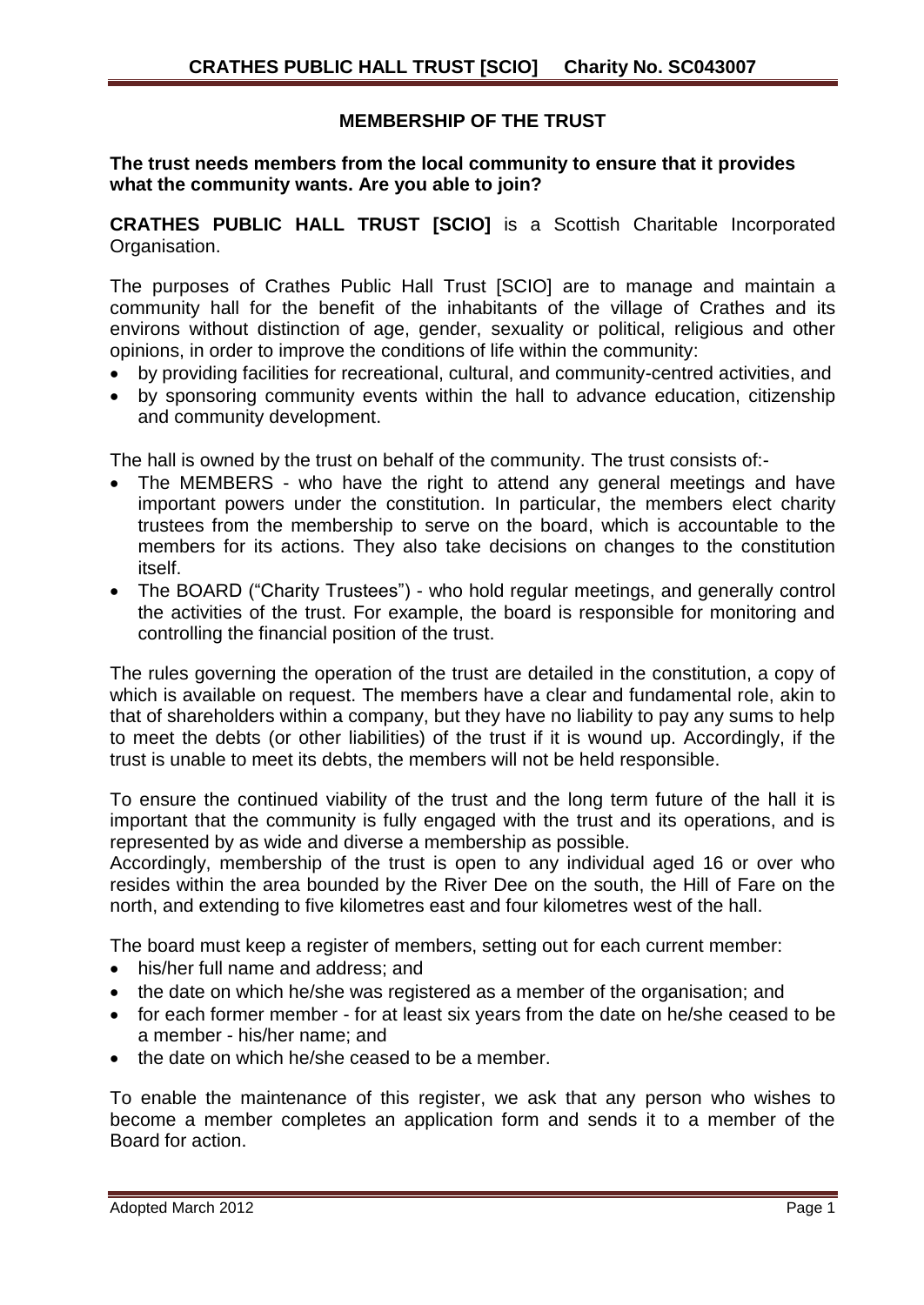# **MEMBERSHIP OF THE TRUST**

### **The trust needs members from the local community to ensure that it provides what the community wants. Are you able to join?**

**CRATHES PUBLIC HALL TRUST [SCIO]** is a Scottish Charitable Incorporated Organisation.

The purposes of Crathes Public Hall Trust [SCIO] are to manage and maintain a community hall for the benefit of the inhabitants of the village of Crathes and its environs without distinction of age, gender, sexuality or political, religious and other opinions, in order to improve the conditions of life within the community:

- by providing facilities for recreational, cultural, and community-centred activities, and
- by sponsoring community events within the hall to advance education, citizenship and community development.

The hall is owned by the trust on behalf of the community. The trust consists of:-

- The MEMBERS who have the right to attend any general meetings and have important powers under the constitution. In particular, the members elect charity trustees from the membership to serve on the board, which is accountable to the members for its actions. They also take decisions on changes to the constitution itself.
- The BOARD ("Charity Trustees") who hold regular meetings, and generally control the activities of the trust. For example, the board is responsible for monitoring and controlling the financial position of the trust.

The rules governing the operation of the trust are detailed in the constitution, a copy of which is available on request. The members have a clear and fundamental role, akin to that of shareholders within a company, but they have no liability to pay any sums to help to meet the debts (or other liabilities) of the trust if it is wound up. Accordingly, if the trust is unable to meet its debts, the members will not be held responsible.

To ensure the continued viability of the trust and the long term future of the hall it is important that the community is fully engaged with the trust and its operations, and is represented by as wide and diverse a membership as possible.

Accordingly, membership of the trust is open to any individual aged 16 or over who resides within the area bounded by the River Dee on the south, the Hill of Fare on the north, and extending to five kilometres east and four kilometres west of the hall.

The board must keep a register of members, setting out for each current member:

- his/her full name and address; and
- the date on which he/she was registered as a member of the organisation; and
- for each former member for at least six years from the date on he/she ceased to be a member - his/her name; and
- the date on which he/she ceased to be a member.

To enable the maintenance of this register, we ask that any person who wishes to become a member completes an application form and sends it to a member of the Board for action.